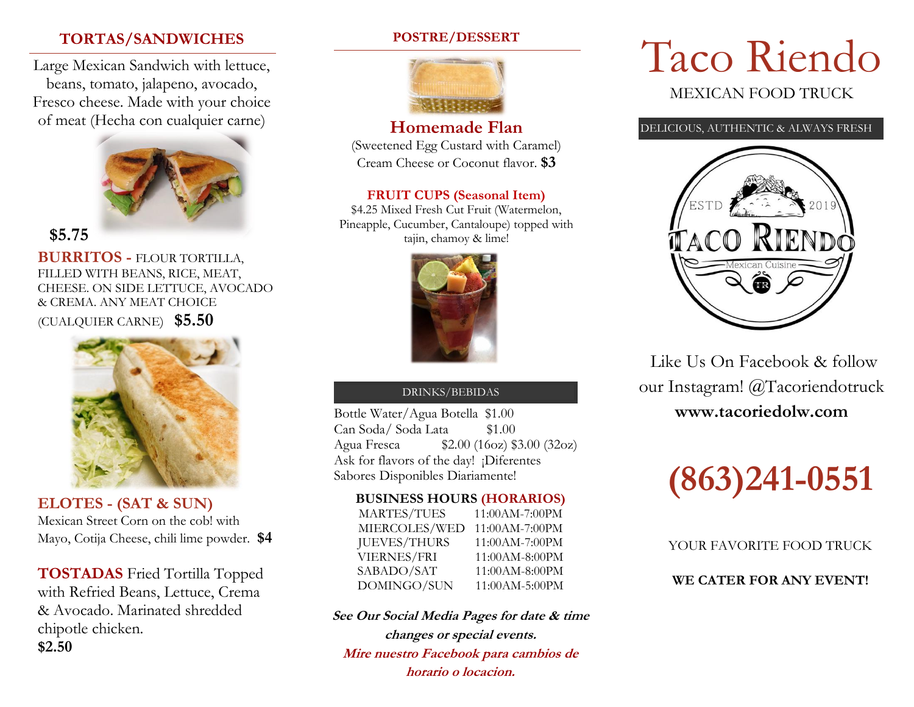# **TORTAS/SANDWICHES**

Large Mexican Sandwich with lettuce, beans, tomato, jalapeno, avocado, Fresco cheese. Made with your choice of meat (Hecha con cualquier carne)



**\$5.75**

**BURRITOS -** FLOUR TORTILLA, FILLED WITH BEANS, RICE, MEAT, CHEESE. ON SIDE LETTUCE, AVOCADO & CREMA. ANY MEAT CHOICE (CUALQUIER CARNE) **\$5.50**



**ELOTES - (SAT & SUN)** Mexican Street Corn on the cob! with Mayo, Cotija Cheese, chili lime powder. **\$4**

**TOSTADAS** Fried Tortilla Topped with Refried Beans, Lettuce, Crema & Avocado. Marinated shredded chipotle chicken. **\$2.50**

## **POSTRE/DESSERT**



# **Homemade Flan**

(Sweetened Egg Custard with Caramel) Cream Cheese or Coconut flavor. **\$3**

## **FRUIT CUPS (Seasonal Item)**

\$4.25 Mixed Fresh Cut Fruit (Watermelon, Pineapple, Cucumber, Cantaloupe) topped with tajin, chamoy & lime!



#### DRINKS/BEBIDAS

Bottle Water/Agua Botella \$1.00 Can Soda/ Soda Lata \$1.00 Agua Fresca \$2.00 (16oz) \$3.00 (32oz) Ask for flavors of the day! ¡Diferentes Sabores Disponibles Diariamente!

#### **BUSINESS HOURS (HORARIOS)**

| <b>MARTES/TUES</b>  | 11:00AM-7:00PM |
|---------------------|----------------|
| MIERCOLES/WED       | 11:00AM-7:00PM |
| <b>JUEVES/THURS</b> | 11:00AM-7:00PM |
| <b>VIERNES/FRI</b>  | 11:00AM-8:00PM |
| SABADO/SAT          | 11:00AM-8:00PM |
| DOMINGO/SUN         | 11:00AM-5:00PM |

**See Our Social Media Pages for date & time changes or special events. Mire nuestro Facebook para cambios de horario o locacion.** 

# Taco Riendo MEXICAN FOOD TRUCK

DELICIOUS, AUTHENTIC & ALWAYS FRESH



Like Us On Facebook & follow our Instagram! @Tacoriendotruck **www.tacoriedolw.com**



YOUR FAVORITE FOOD TRUCK

**WE CATER FOR ANY EVENT!**